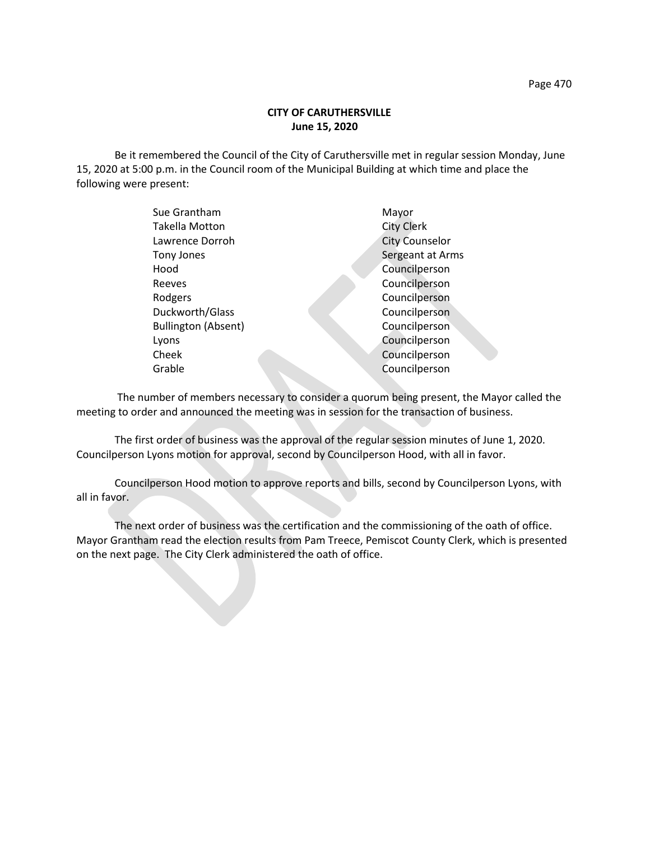## **CITY OF CARUTHERSVILLE June 15, 2020**

Be it remembered the Council of the City of Caruthersville met in regular session Monday, June 15, 2020 at 5:00 p.m. in the Council room of the Municipal Building at which time and place the following were present:

| Sue Grantham               | Mayor                 |
|----------------------------|-----------------------|
| <b>Takella Motton</b>      | <b>City Clerk</b>     |
| Lawrence Dorroh            | <b>City Counselor</b> |
| Tony Jones                 | Sergeant at Arms      |
| Hood                       | Councilperson         |
| Reeves                     | Councilperson         |
| Rodgers                    | Councilperson         |
| Duckworth/Glass            | Councilperson         |
| <b>Bullington (Absent)</b> | Councilperson         |
| Lyons                      | Councilperson         |
| Cheek                      | Councilperson         |
| Grable                     | Councilperson         |
|                            |                       |

 The number of members necessary to consider a quorum being present, the Mayor called the meeting to order and announced the meeting was in session for the transaction of business.

The first order of business was the approval of the regular session minutes of June 1, 2020. Councilperson Lyons motion for approval, second by Councilperson Hood, with all in favor.

Councilperson Hood motion to approve reports and bills, second by Councilperson Lyons, with all in favor.

The next order of business was the certification and the commissioning of the oath of office. Mayor Grantham read the election results from Pam Treece, Pemiscot County Clerk, which is presented on the next page. The City Clerk administered the oath of office.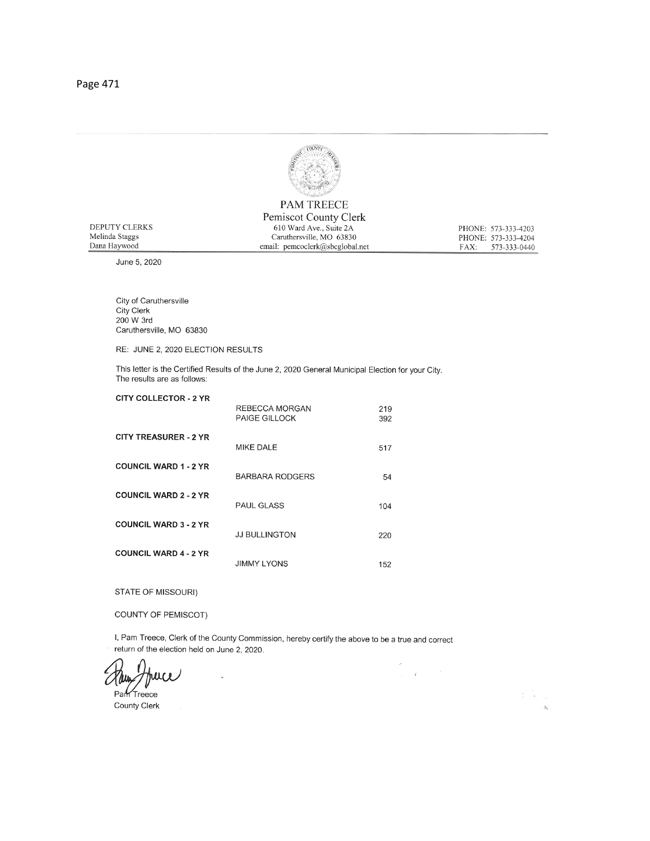

**PAM TREECE** Pemiscot County Clerk

610 Ward Ave., Suite 2A

Caruthersville, MO 63830<br>email: pemcoclerk@sbcglobal.net

PHONE: 573-333-4203

PHONE: 573-333-4204 FAX: 573-333-0440

| DEPUTY CLERKS  |  |
|----------------|--|
| Melinda Staggs |  |
| Dana Haywood   |  |

June 5, 2020

City of Caruthersville City Clerk 200 W 3rd Caruthersville, MO 63830

RE: JUNE 2, 2020 ELECTION RESULTS

This letter is the Certified Results of the June 2, 2020 General Municipal Election for your City. The results are as follows:

| <b>CITY COLLECTOR - 2 YR</b> | REBECCA MORGAN<br><b>PAIGE GILLOCK</b> | 219<br>392 |
|------------------------------|----------------------------------------|------------|
| <b>CITY TREASURER - 2 YR</b> | <b>MIKE DALE</b>                       | 517        |
| <b>COUNCIL WARD 1 - 2 YR</b> | <b>BARBARA RODGERS</b>                 | 54         |
| <b>COUNCIL WARD 2 - 2 YR</b> | <b>PAUL GLASS</b>                      | 104        |
| <b>COUNCIL WARD 3 - 2 YR</b> | <b>JJ BULLINGTON</b>                   | 220        |
| <b>COUNCIL WARD 4 - 2 YR</b> | <b>JIMMY LYONS</b>                     | 152        |

STATE OF MISSOURI)

COUNTY OF PEMISCOT)

I, Pam Treece, Clerk of the County Commission, hereby certify the above to be a true and correct return of the election held on June 2, 2020.

 $\ddot{\phantom{0}}$ 

 $\omega = \ell$  .

추 있다

 $\mathcal{A}_1$ 

 $\overline{\phantom{a}}$ 

Part Treece County Clerk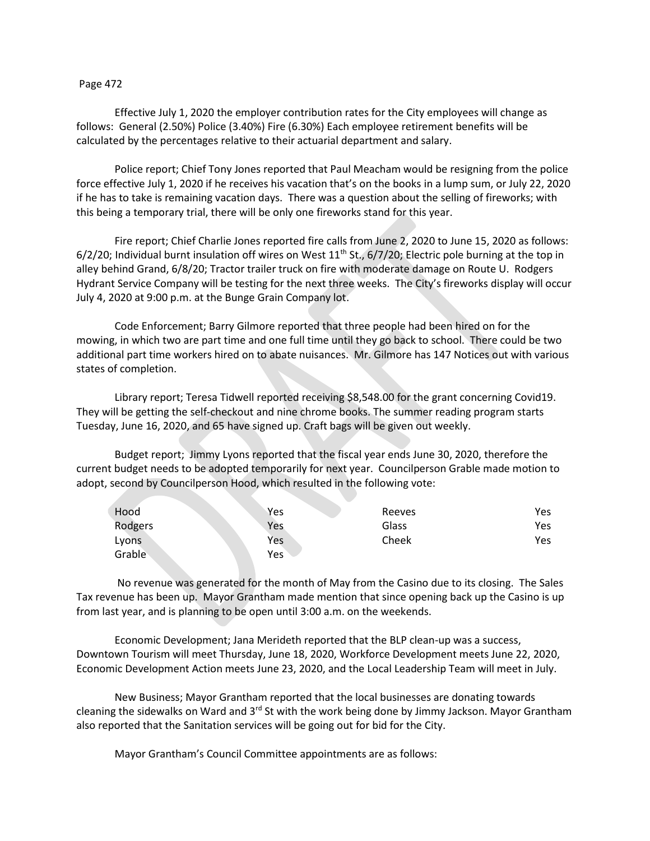## Page 472

Effective July 1, 2020 the employer contribution rates for the City employees will change as follows: General (2.50%) Police (3.40%) Fire (6.30%) Each employee retirement benefits will be calculated by the percentages relative to their actuarial department and salary.

Police report; Chief Tony Jones reported that Paul Meacham would be resigning from the police force effective July 1, 2020 if he receives his vacation that's on the books in a lump sum, or July 22, 2020 if he has to take is remaining vacation days. There was a question about the selling of fireworks; with this being a temporary trial, there will be only one fireworks stand for this year.

Fire report; Chief Charlie Jones reported fire calls from June 2, 2020 to June 15, 2020 as follows: 6/2/20; Individual burnt insulation off wires on West  $11<sup>th</sup>$  St., 6/7/20; Electric pole burning at the top in alley behind Grand, 6/8/20; Tractor trailer truck on fire with moderate damage on Route U. Rodgers Hydrant Service Company will be testing for the next three weeks. The City's fireworks display will occur July 4, 2020 at 9:00 p.m. at the Bunge Grain Company lot.

Code Enforcement; Barry Gilmore reported that three people had been hired on for the mowing, in which two are part time and one full time until they go back to school. There could be two additional part time workers hired on to abate nuisances. Mr. Gilmore has 147 Notices out with various states of completion.

Library report; Teresa Tidwell reported receiving \$8,548.00 for the grant concerning Covid19. They will be getting the self-checkout and nine chrome books. The summer reading program starts Tuesday, June 16, 2020, and 65 have signed up. Craft bags will be given out weekly.

Budget report; Jimmy Lyons reported that the fiscal year ends June 30, 2020, therefore the current budget needs to be adopted temporarily for next year. Councilperson Grable made motion to adopt, second by Councilperson Hood, which resulted in the following vote:

| Hood    | Yes | Reeves | Yes |
|---------|-----|--------|-----|
| Rodgers | Yes | Glass  | Yes |
| Lyons   | Yes | Cheek  | Yes |
| Grable  | Yes |        |     |

No revenue was generated for the month of May from the Casino due to its closing. The Sales Tax revenue has been up. Mayor Grantham made mention that since opening back up the Casino is up from last year, and is planning to be open until 3:00 a.m. on the weekends.

Economic Development; Jana Merideth reported that the BLP clean-up was a success, Downtown Tourism will meet Thursday, June 18, 2020, Workforce Development meets June 22, 2020, Economic Development Action meets June 23, 2020, and the Local Leadership Team will meet in July.

New Business; Mayor Grantham reported that the local businesses are donating towards cleaning the sidewalks on Ward and  $3<sup>rd</sup>$  St with the work being done by Jimmy Jackson. Mayor Grantham also reported that the Sanitation services will be going out for bid for the City.

Mayor Grantham's Council Committee appointments are as follows: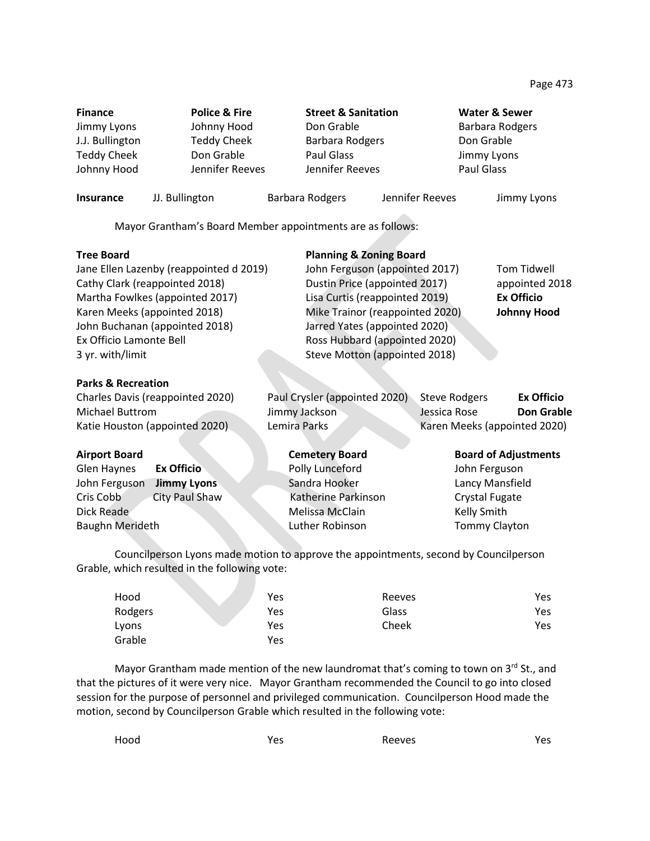**Finance Police & Fire Street & Sanitation Water & Sewer** Jimmy Lyons **Southern Hood** Don Grable **Don Barbara Rodgers** J.J. Bullington Teddy Cheek Barbara Rodgers Don Grable Teddy Cheek Don Grable Paul Glass Jimmy Lyons Johnny Hood Jennifer Reeves Jennifer Reeves Paul Glass

**Insurance** JJ. Bullington Barbara Rodgers Jennifer Reeves Jimmy Lyons

Mayor Grantham's Board Member appointments are as follows:

| <b>Tree Board</b>                       | <b>Planning &amp; Zoning Board</b> |                                           |
|-----------------------------------------|------------------------------------|-------------------------------------------|
| Jane Ellen Lazenby (reappointed d 2019) | John Ferguson (appointed 2017)     | Tom Tidwell                               |
| Cathy Clark (reappointed 2018)          | Dustin Price (appointed 2017)      | appointed 2018                            |
| Martha Fowlkes (appointed 2017)         | Lisa Curtis (reappointed 2019)     | <b>Ex Officio</b>                         |
| Karen Meeks (appointed 2018)            | Mike Trainor (reappointed 2020)    | <b>Johnny Hood</b>                        |
| John Buchanan (appointed 2018)          | Jarred Yates (appointed 2020)      |                                           |
| Ex Officio Lamonte Bell                 | Ross Hubbard (appointed 2020)      |                                           |
| 3 yr. with/limit                        | Steve Motton (appointed 2018)      |                                           |
| <b>Parks &amp; Recreation</b>           |                                    |                                           |
| Charles Davis (reappointed 2020)        | Paul Crysler (appointed 2020)      | <b>Steve Rodgers</b><br><b>Ex Officio</b> |
| Michael Buttrom                         | Jimmy Jackson                      | <b>Don Grable</b><br>Jessica Rose         |
| Katie Houston (appointed 2020)          | Lemira Parks                       | Karen Meeks (appointed 2020)              |
| <b>Airport Board</b>                    | <b>Cemetery Board</b>              | <b>Board of Adjustments</b>               |
| <b>Ex Officio</b><br>Glen Haynes        | Polly Lunceford                    | John Ferguson                             |
| John Ferguson<br><b>Jimmy Lyons</b>     | Sandra Hooker                      | Lancy Mansfield                           |
| Cris Cobb<br>City Paul Shaw             | Katherine Parkinson                | Crystal Fugate                            |
| Dick Reade                              | Melissa McClain                    | Kelly Smith                               |
| <b>Baughn Merideth</b>                  | Luther Robinson                    | Tommy Clayton                             |

Councilperson Lyons made motion to approve the appointments, second by Councilperson Grable, which resulted in the following vote:

| Hood    | Yes | Reeves | Yes. |
|---------|-----|--------|------|
| Rodgers | Yes | Glass  | Yes  |
| Lyons   | Yes | Cheek  | Yes  |
| Grable  | Yes |        |      |

Mayor Grantham made mention of the new laundromat that's coming to town on  $3^{rd}$  St., and that the pictures of it were very nice. Mayor Grantham recommended the Council to go into closed session for the purpose of personnel and privileged communication. Councilperson Hood made the motion, second by Councilperson Grable which resulted in the following vote:

Hood Yes Reeves Yes